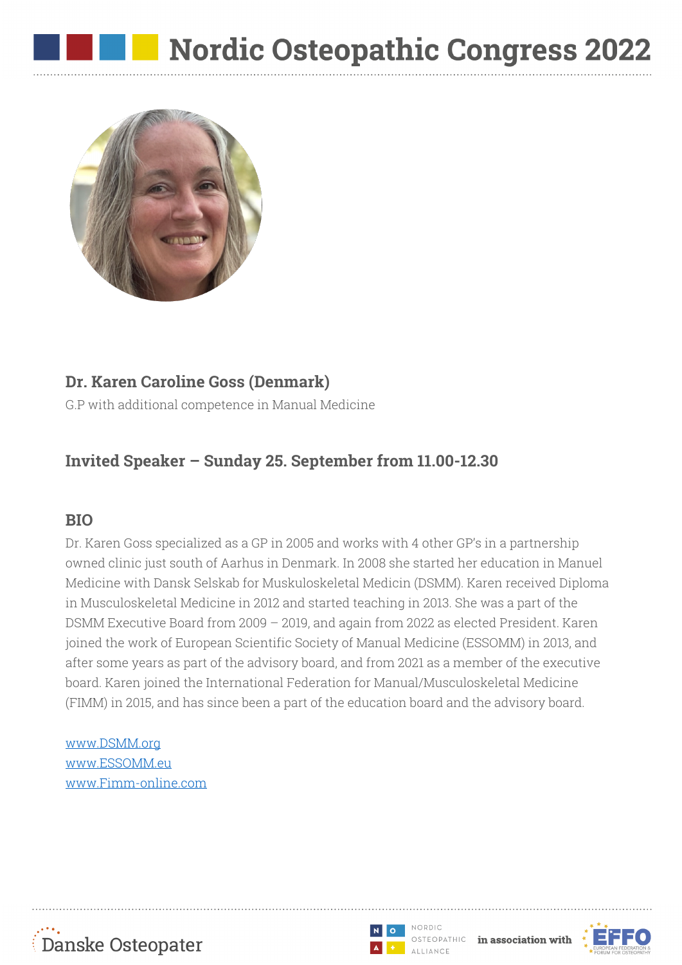

### **Dr. Karen Caroline Goss (Denmark)**

G.P with additional competence in Manual Medicine

# **Invited Speaker – Sunday 25. September from 11.00-12.30**

### **BIO**

Dr. Karen Goss specialized as a GP in 2005 and works with 4 other GP's in a partnership owned clinic just south of Aarhus in Denmark. In 2008 she started her education in Manuel Medicine with Dansk Selskab for Muskuloskeletal Medicin (DSMM). Karen received Diploma in Musculoskeletal Medicine in 2012 and started teaching in 2013. She was a part of the DSMM Executive Board from 2009 – 2019, and again from 2022 as elected President. Karen joined the work of European Scientific Society of Manual Medicine (ESSOMM) in 2013, and after some years as part of the advisory board, and from 2021 as a member of the executive board. Karen joined the International Federation for Manual/Musculoskeletal Medicine (FIMM) in 2015, and has since been a part of the education board and the advisory board.

#### www.DSMM.org www.ESSOMM.eu www.Fimm-online.com